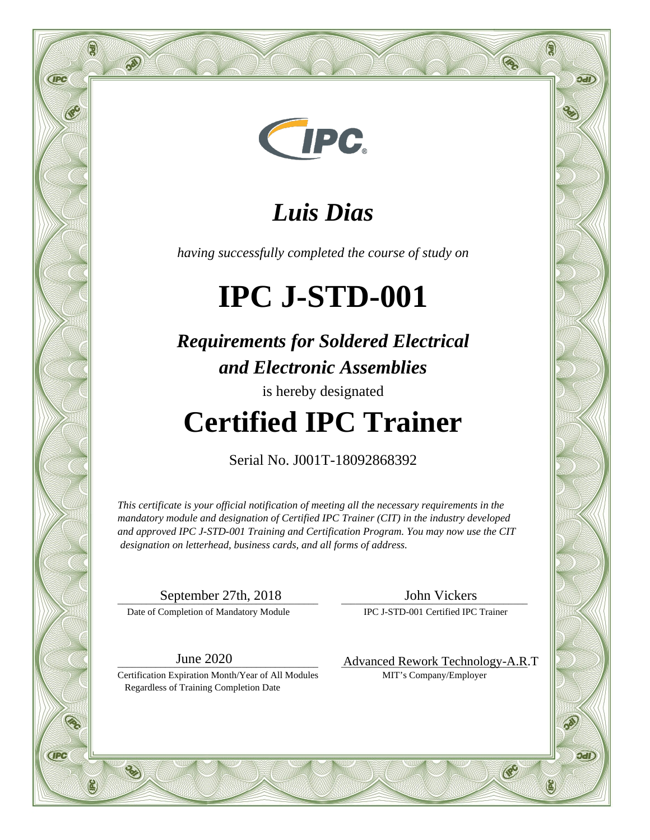

#### *Luis Dias*

*having successfully completed the course of study on*

# **IPC J-STD-001**

*Requirements for Soldered Electrical and Electronic Assemblies*

is hereby designated

### **Certified IPC Trainer**

Serial No. J001T-18092868392

*This certificate is your official notification of meeting all the necessary requirements in the mandatory module and designation of Certified IPC Trainer (CIT) in the industry developed and approved IPC J-STD-001 Training and Certification Program. You may now use the CIT designation on letterhead, business cards, and all forms of address.*

\_\_\_\_\_\_\_\_\_\_\_\_\_\_\_\_\_\_\_\_\_\_\_\_\_\_\_\_\_\_\_\_\_\_\_\_\_\_\_\_\_\_ September 27th, 2018

Date of Completion of Mandatory Module

Q

**CIPC** 

**GPC** 

\_\_\_\_\_\_\_\_\_\_\_\_\_\_\_\_\_\_\_\_\_\_\_\_\_\_\_\_\_\_\_\_\_\_\_\_\_\_\_ John Vickers

 $\Theta$ 

 $Q<sub>z</sub>$ 

 $9d$ 

E

Q

IPC J-STD-001 Certified IPC Trainer

\_\_\_\_\_\_\_\_\_\_\_\_\_\_\_\_\_\_\_\_\_\_\_\_\_\_\_\_\_\_\_\_\_\_\_\_\_\_\_\_\_\_ June 2020

Certification Expiration Month/Year of All Modules Regardless of Training Completion Date

Advanced Rework Technology-A.R.T MIT's Company/Employer